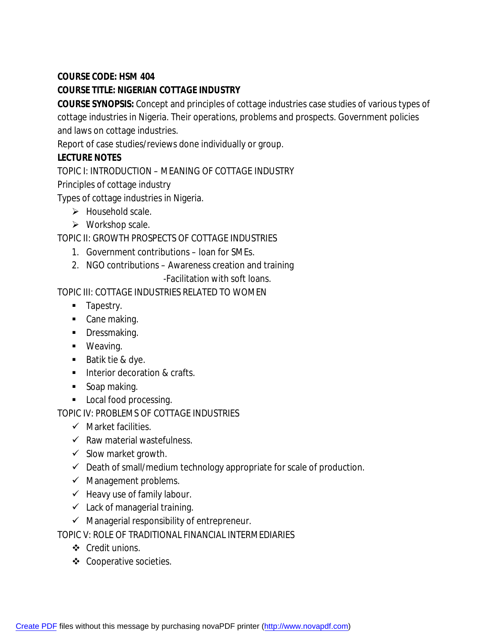## **COURSE CODE: HSM 404**

## **COURSE TITLE: NIGERIAN COTTAGE INDUSTRY**

**COURSE SYNOPSIS:** Concept and principles of cottage industries case studies of various types of cottage industries in Nigeria. Their operations, problems and prospects. Government policies and laws on cottage industries.

Report of case studies/reviews done individually or group.

## **LECTURE NOTES**

TOPIC I: INTRODUCTION – MEANING OF COTTAGE INDUSTRY

Principles of cottage industry

Types of cottage industries in Nigeria.

- $\triangleright$  Household scale.
- $\triangleright$  Workshop scale.

TOPIC II: GROWTH PROSPECTS OF COTTAGE INDUSTRIES

- 1. Government contributions loan for SMEs.
- 2. NGO contributions Awareness creation and training

-Facilitation with soft loans.

TOPIC III: COTTAGE INDUSTRIES RELATED TO WOMEN

- **Tapestry.**
- Cane making.
- **Dressmaking.**
- **•** Weaving.
- Batik tie & dye.
- **Interior decoration & crafts.**
- **Soap making.**
- **Local food processing.**

TOPIC IV: PROBLEMS OF COTTAGE INDUSTRIES

- $\checkmark$  Market facilities.
- $\checkmark$  Raw material wastefulness.
- $\checkmark$  Slow market growth.
- $\checkmark$  Death of small/medium technology appropriate for scale of production.
- $\checkmark$  Management problems.
- $\checkmark$  Heavy use of family labour.
- $\checkmark$  Lack of managerial training.
- $\checkmark$  Managerial responsibility of entrepreneur.

TOPIC V: ROLE OF TRADITIONAL FINANCIAL INTERMEDIARIES

- Credit unions.
- ❖ Cooperative societies.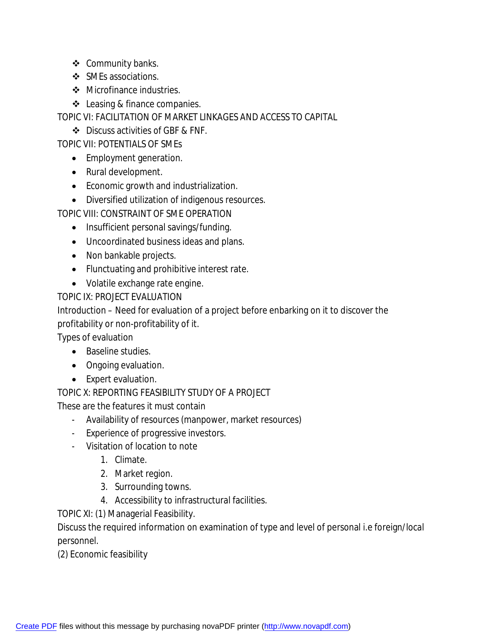- ❖ Community banks.
- ❖ SMEs associations.
- Microfinance industries.
- $\triangleleft$  Leasing & finance companies.

TOPIC VI: FACILITATION OF MARKET LINKAGES AND ACCESS TO CAPITAL

❖ Discuss activities of GBF & FNF.

TOPIC VII: POTENTIALS OF SMEs

- Employment generation.
- Rural development.
- Economic growth and industrialization.
- Diversified utilization of indigenous resources.

TOPIC VIII: CONSTRAINT OF SME OPERATION

- Insufficient personal savings/funding.
- Uncoordinated business ideas and plans.
- Non bankable projects.
- Flunctuating and prohibitive interest rate.
- Volatile exchange rate engine.

TOPIC IX: PROJECT EVALUATION

Introduction – Need for evaluation of a project before enbarking on it to discover the profitability or non-profitability of it.

Types of evaluation

- Baseline studies.
- Ongoing evaluation.
- Expert evaluation.

TOPIC X: REPORTING FEASIBILITY STUDY OF A PROJECT

These are the features it must contain

- Availability of resources (manpower, market resources)
- Experience of progressive investors.
- Visitation of location to note
	- 1. Climate.
	- 2. Market region.
	- 3. Surrounding towns.
	- 4. Accessibility to infrastructural facilities.

TOPIC XI: (1) Managerial Feasibility.

Discuss the required information on examination of type and level of personal i.e foreign/local personnel.

(2) Economic feasibility